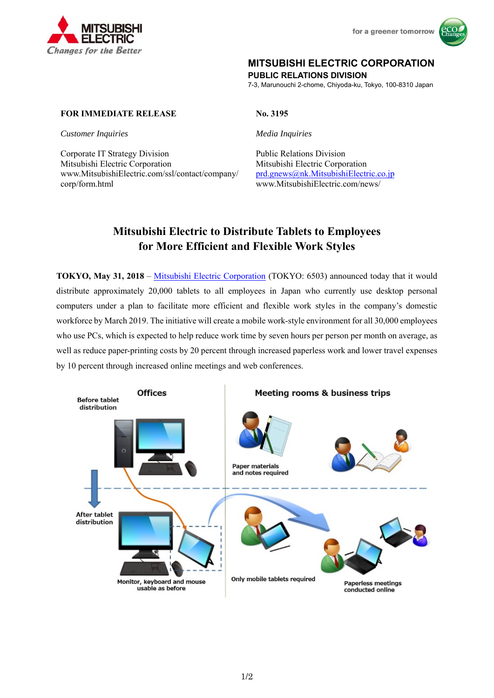



# **MITSUBISHI ELECTRIC CORPORATION**

**PUBLIC RELATIONS DIVISION** 

7-3, Marunouchi 2-chome, Chiyoda-ku, Tokyo, 100-8310 Japan

## **FOR IMMEDIATE RELEASE No. 3195**

*Customer Inquiries Media Inquiries* 

Corporate IT Strategy Division<br>
Public Relations Division Mitsubishi Electric Corporation Mitsubishi Electric Corporation www.MitsubishiElectric.com/ssl/contact/company/ prd.gnews@nk.MitsubishiElectric.co.jp corp/form.html www.MitsubishiElectric.com/news/

# **Mitsubishi Electric to Distribute Tablets to Employees for More Efficient and Flexible Work Styles**

**TOKYO, May 31, 2018** – Mitsubishi Electric Corporation (TOKYO: 6503) announced today that it would distribute approximately 20,000 tablets to all employees in Japan who currently use desktop personal computers under a plan to facilitate more efficient and flexible work styles in the company's domestic workforce by March 2019. The initiative will create a mobile work-style environment for all 30,000 employees who use PCs, which is expected to help reduce work time by seven hours per person per month on average, as well as reduce paper-printing costs by 20 percent through increased paperless work and lower travel expenses by 10 percent through increased online meetings and web conferences.